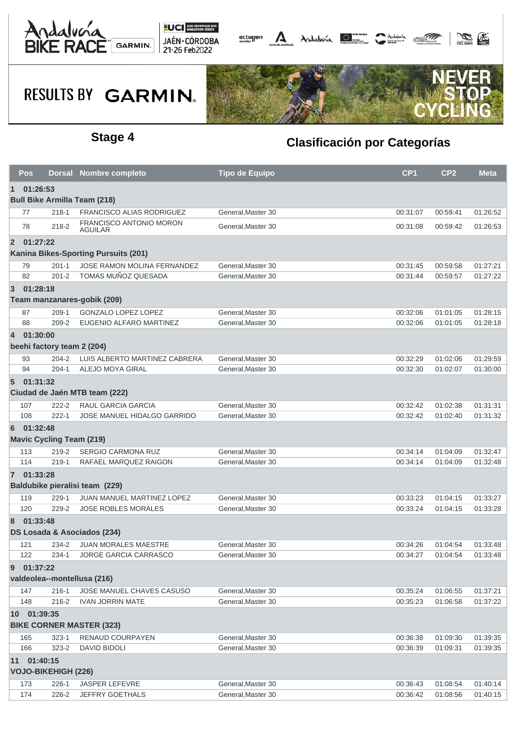



# **RESULTS BY GARMIN.**



### **Stage 4 Clasificación por Categorías**

|                                                                | Pos                                                      |                                 | Dorsal Nombre completo                           | <b>Tipo de Equipo</b> | CP <sub>1</sub> | CP <sub>2</sub> | Meta     |  |  |
|----------------------------------------------------------------|----------------------------------------------------------|---------------------------------|--------------------------------------------------|-----------------------|-----------------|-----------------|----------|--|--|
| 01:26:53<br>$\mathbf 1$<br><b>Bull Bike Armilla Team (218)</b> |                                                          |                                 |                                                  |                       |                 |                 |          |  |  |
|                                                                | 77                                                       | $218 - 1$                       | <b>FRANCISCO ALIAS RODRIGUEZ</b>                 | General, Master 30    | 00:31:07        | 00:59:41        | 01:26:52 |  |  |
|                                                                | 78                                                       | 218-2                           | <b>FRANCISCO ANTONIO MORON</b><br><b>AGUILAR</b> | General, Master 30    | 00:31:08        | 00:59:42        | 01:26:53 |  |  |
| $\overline{2}$                                                 | 01:27:22                                                 |                                 |                                                  |                       |                 |                 |          |  |  |
| Kanina Bikes-Sporting Pursuits (201)                           |                                                          |                                 |                                                  |                       |                 |                 |          |  |  |
|                                                                | 79                                                       | $201 - 1$                       | JOSE RAMON MOLINA FERNANDEZ                      | General, Master 30    | 00:31:45        | 00:59:58        | 01:27:21 |  |  |
|                                                                | 82                                                       | $201 - 2$                       | TOMAS MUÑOZ QUESADA                              | General, Master 30    | 00:31:44        | 00:59:57        | 01:27:22 |  |  |
| 3                                                              | 01:28:18<br>Team manzanares-gobik (209)                  |                                 |                                                  |                       |                 |                 |          |  |  |
|                                                                | 87                                                       | $209-1$                         | <b>GONZALO LOPEZ LOPEZ</b>                       | General, Master 30    | 00:32:06        | 01:01:05        | 01:28:15 |  |  |
|                                                                | 88                                                       | 209-2                           | EUGENIO ALFARO MARTINEZ                          | General, Master 30    | 00:32:06        | 01:01:05        | 01:28:18 |  |  |
|                                                                |                                                          |                                 |                                                  |                       |                 |                 |          |  |  |
|                                                                | 01:30:00<br>$\overline{4}$<br>beehi factory team 2 (204) |                                 |                                                  |                       |                 |                 |          |  |  |
|                                                                | 93                                                       | $204 - 2$                       | LUIS ALBERTO MARTINEZ CABRERA                    | General, Master 30    | 00:32:29        | 01:02:06        | 01:29:59 |  |  |
|                                                                | 94                                                       | $204 - 1$                       | <b>ALEJO MOYA GIRAL</b>                          | General, Master 30    | 00:32:30        | 01:02:07        | 01:30:00 |  |  |
| $\sqrt{5}$                                                     | 01:31:32                                                 |                                 | Ciudad de Jaén MTB team (222)                    |                       |                 |                 |          |  |  |
|                                                                | 107                                                      | $222 - 2$                       | <b>RAUL GARCIA GARCIA</b>                        | General, Master 30    | 00:32:42        | 01:02:38        | 01:31:31 |  |  |
|                                                                | 108                                                      | $222 - 1$                       | JOSE MANUEL HIDALGO GARRIDO                      | General, Master 30    | 00:32:42        | 01:02:40        | 01:31:32 |  |  |
| 6                                                              | 01:32:48                                                 |                                 |                                                  |                       |                 |                 |          |  |  |
|                                                                |                                                          | <b>Mavic Cycling Team (219)</b> |                                                  |                       |                 |                 |          |  |  |
|                                                                | 113                                                      | 219-2                           | <b>SERGIO CARMONA RUZ</b>                        | General, Master 30    | 00:34:14        | 01:04:09        | 01:32:47 |  |  |
|                                                                | 114                                                      | $219 - 1$                       | RAFAEL MARQUEZ RAIGON                            | General, Master 30    | 00:34:14        | 01:04:09        | 01:32:48 |  |  |
|                                                                | 7 01:33:28                                               |                                 |                                                  |                       |                 |                 |          |  |  |
|                                                                |                                                          |                                 | Baldubike pieralisi team (229)                   |                       |                 |                 |          |  |  |
|                                                                | 119                                                      | 229-1                           | <b>JUAN MANUEL MARTINEZ LOPEZ</b>                | General, Master 30    | 00:33:23        | 01:04:15        | 01:33:27 |  |  |
|                                                                | 120                                                      | 229-2                           | <b>JOSE ROBLES MORALES</b>                       | General, Master 30    | 00:33:24        | 01:04:15        | 01:33:28 |  |  |
| 8                                                              | 01:33:48<br>DS Losada & Asociados (234)                  |                                 |                                                  |                       |                 |                 |          |  |  |
|                                                                | 121                                                      | 234-2                           | <b>JUAN MORALES MAESTRE</b>                      | General, Master 30    | 00:34:26        | 01:04:54        | 01:33:48 |  |  |
|                                                                | 122                                                      | 234-1                           | JORGE GARCIA CARRASCO                            | General, Master 30    | 00:34:27        | 01:04:54        | 01:33:48 |  |  |
| 01:37:22<br>9<br>valdeolea--montellusa (216)                   |                                                          |                                 |                                                  |                       |                 |                 |          |  |  |
|                                                                | 147                                                      | $216 - 1$                       | JOSE MANUEL CHAVES CASUSO                        | General, Master 30    | 00:35:24        | 01:06:55        | 01:37:21 |  |  |
|                                                                | 148                                                      | 216-2                           | <b>IVAN JORRIN MATE</b>                          | General.Master 30     | 00:35:23        | 01:06:58        | 01:37:22 |  |  |
| 10 01:39:35<br><b>BIKE CORNER MASTER (323)</b>                 |                                                          |                                 |                                                  |                       |                 |                 |          |  |  |
|                                                                | 165                                                      | $323 - 1$                       | RENAUD COURPAYEN                                 | General, Master 30    | 00:36:38        | 01:09:30        | 01:39:35 |  |  |
|                                                                | 166                                                      | $323 - 2$                       | DAVID BIDOLI                                     | General, Master 30    | 00:36:39        | 01:09:31        | 01:39:35 |  |  |
| 01:40:15<br>11<br><b>VOJO-BIKEHIGH (226)</b>                   |                                                          |                                 |                                                  |                       |                 |                 |          |  |  |
|                                                                | 173                                                      | 226-1                           | JASPER LEFEVRE                                   | General, Master 30    | 00:36:43        | 01:08:54        | 01:40:14 |  |  |
|                                                                | 174                                                      | 226-2                           | JEFFRY GOETHALS                                  | General, Master 30    | 00:36:42        | 01:08:56        | 01:40:15 |  |  |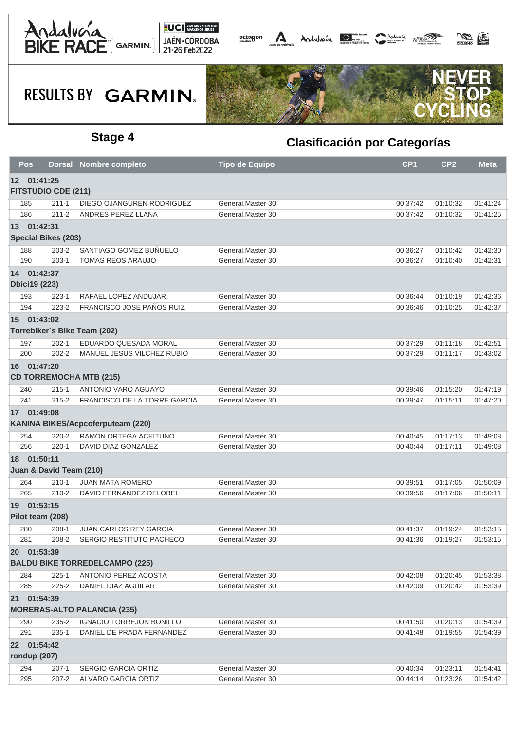



## **RESULTS BY GARMIN.**



### **Stage 4 Clasificación por Categorías**

| Pos                                                  |                                             | Dorsal Nombre completo              | <b>Tipo de Equipo</b> | CP <sub>1</sub> | CP <sub>2</sub> | <b>Meta</b> |  |
|------------------------------------------------------|---------------------------------------------|-------------------------------------|-----------------------|-----------------|-----------------|-------------|--|
| 12 01:41:25<br><b>FITSTUDIO CDE (211)</b>            |                                             |                                     |                       |                 |                 |             |  |
| 185                                                  | $211 - 1$                                   | DIEGO OJANGUREN RODRIGUEZ           | General, Master 30    | 00:37:42        | 01:10:32        | 01:41:24    |  |
| 186                                                  | $211 - 2$                                   | ANDRES PEREZ LLANA                  | General.Master 30     | 00:37:42        | 01:10:32        | 01:41:25    |  |
| 13 01:42:31<br><b>Special Bikes (203)</b>            |                                             |                                     |                       |                 |                 |             |  |
| 188                                                  | $203 - 2$                                   | SANTIAGO GOMEZ BUÑUELO              | General, Master 30    | 00:36:27        | 01:10:42        | 01:42:30    |  |
| 190                                                  | $203 - 1$                                   | <b>TOMAS REOS ARAUJO</b>            | General, Master 30    | 00:36:27        | 01:10:40        | 01:42:31    |  |
|                                                      | 14 01:42:37<br><b>Dbici19 (223)</b>         |                                     |                       |                 |                 |             |  |
| 193                                                  | 223-1                                       | RAFAEL LOPEZ ANDUJAR                | General, Master 30    | 00:36:44        | 01:10:19        | 01:42:36    |  |
| 194                                                  | 223-2                                       | FRANCISCO JOSE PAÑOS RUIZ           | General, Master 30    | 00:36:46        | 01:10:25        | 01:42:37    |  |
|                                                      | 15 01:43:02<br>Torrebiker's Bike Team (202) |                                     |                       |                 |                 |             |  |
| 197                                                  | $202 - 1$                                   | EDUARDO QUESADA MORAL               | General, Master 30    | 00:37:29        | 01:11:18        | 01:42:51    |  |
| 200                                                  | $202 - 2$                                   | MANUEL JESUS VILCHEZ RUBIO          | General, Master 30    | 00:37:29        | 01:11:17        | 01:43:02    |  |
|                                                      | 16 01:47:20                                 | <b>CD TORREMOCHA MTB (215)</b>      |                       |                 |                 |             |  |
| 240                                                  | $215 - 1$                                   | ANTONIO VARO AGUAYO                 | General, Master 30    | 00:39:46        | 01:15:20        | 01:47:19    |  |
| 241                                                  | $215 - 2$                                   | <b>FRANCISCO DE LA TORRE GARCIA</b> | General, Master 30    | 00:39:47        | 01:15:11        | 01:47:20    |  |
|                                                      | 17 01:49:08                                 |                                     |                       |                 |                 |             |  |
|                                                      |                                             | KANINA BIKES/Acpcoferputeam (220)   |                       |                 |                 |             |  |
| 254                                                  | 220-2                                       | RAMON ORTEGA ACEITUNO               | General, Master 30    | 00:40:45        | 01:17:13        | 01:49:08    |  |
| 256                                                  | $220-1$                                     | DAVID DIAZ GONZALEZ                 | General, Master 30    | 00:40:44        | 01:17:11        | 01:49:08    |  |
|                                                      |                                             |                                     |                       |                 |                 |             |  |
| 18 01:50:11<br>Juan & David Team (210)               |                                             |                                     |                       |                 |                 |             |  |
| 264                                                  | $210 - 1$                                   | <b>JUAN MATA ROMERO</b>             | General, Master 30    | 00:39:51        | 01:17:05        | 01:50:09    |  |
| 265                                                  | $210 - 2$                                   | DAVID FERNANDEZ DELOBEL             | General, Master 30    | 00:39:56        | 01:17:06        | 01:50:11    |  |
|                                                      | 19 01:53:15<br>Pilot team (208)             |                                     |                       |                 |                 |             |  |
| 280                                                  | $208-1$                                     | <b>JUAN CARLOS REY GARCIA</b>       | General, Master 30    | 00:41:37        | 01:19:24        | 01:53:15    |  |
| 281                                                  | 208-2                                       | SERGIO RESTITUTO PACHECO            | General, Master 30    | 00:41:36        | 01:19:27        | 01:53:15    |  |
| 20 01:53:39<br><b>BALDU BIKE TORREDELCAMPO (225)</b> |                                             |                                     |                       |                 |                 |             |  |
| 284                                                  | $225 - 1$                                   | ANTONIO PEREZ ACOSTA                | General, Master 30    | 00:42:08        | 01:20:45        | 01:53:38    |  |
| 285                                                  | $225 - 2$                                   | DANIEL DIAZ AGUILAR                 | General.Master 30     | 00:42:09        | 01:20:42        | 01:53:39    |  |
|                                                      | 21 01:54:39                                 | <b>MORERAS-ALTO PALANCIA (235)</b>  |                       |                 |                 |             |  |
| 290                                                  | 235-2                                       | <b>IGNACIO TORREJON BONILLO</b>     | General, Master 30    | 00:41:50        | 01:20:13        | 01:54:39    |  |
| 291                                                  | $235 - 1$                                   | DANIEL DE PRADA FERNANDEZ           | General, Master 30    | 00:41:48        | 01:19:55        | 01:54:39    |  |
| 22 01:54:42<br>rondup (207)                          |                                             |                                     |                       |                 |                 |             |  |
| 294                                                  | $207-1$                                     | <b>SERGIO GARCIA ORTIZ</b>          | General, Master 30    | 00:40:34        | 01:23:11        | 01:54:41    |  |
| 295                                                  | 207-2                                       | ALVARO GARCIA ORTIZ                 | General, Master 30    | 00:44:14        | 01:23:26        | 01:54:42    |  |